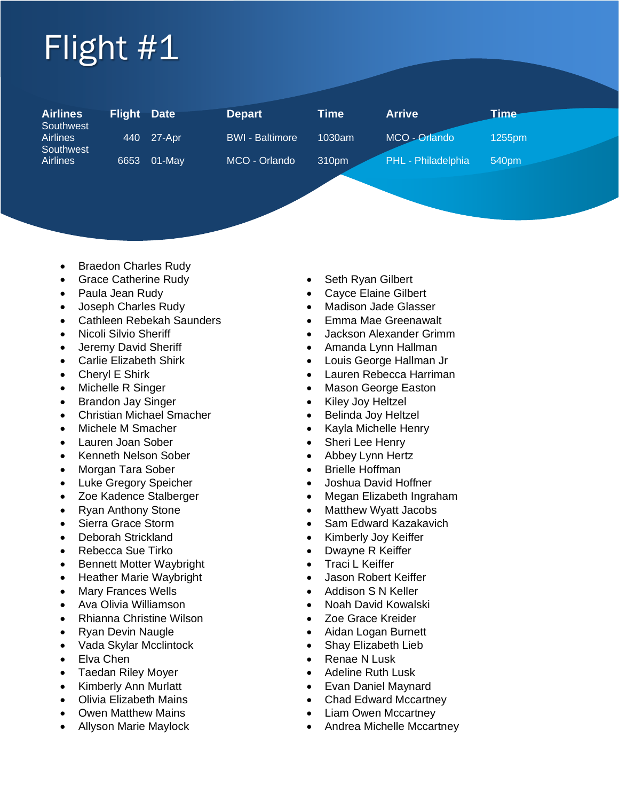## Flight #1

| <b>Airlines</b><br>Southwest | <b>Flight</b> | <b>Date</b> | <b>Depart</b>          | Time   | <b>Arrive</b>      | <u>Time</u> |
|------------------------------|---------------|-------------|------------------------|--------|--------------------|-------------|
| <b>Airlines</b><br>Southwest | 440           | 27-Apr      | <b>BWI - Baltimore</b> | 1030am | MCO - Orlando      | 1255pm      |
| <b>Airlines</b>              | 6653          | $01-Mav$    | MCO - Orlando          | 310pm  | PHL - Philadelphia | 540pm       |

- Braedon Charles Rudy
- Grace Catherine Rudy Seth Ryan Gilbert
- 
- 
- Cathleen Rebekah Saunders Emma Mae Greenawalt
- 
- 
- 
- 
- 
- Brandon Jay Singer  **Kiley Joy Heltzel**
- Christian Michael Smacher **•** Belinda Joy Heltzel
- 
- Lauren Joan Sober Sheri Lee Henry
- Kenneth Nelson Sober Abbey Lynn Hertz
- Morgan Tara Sober Brielle Hoffman
- Luke Gregory Speicher Joshua David Hoffner
- 
- 
- 
- 
- Rebecca Sue Tirko Dwayne R Keiffer
- Bennett Motter Waybright Traci L Keiffer
- Heather Marie Waybright Jason Robert Keiffer
- 
- 
- Rhianna Christine Wilson Zoe Grace Kreider
- 
- Vada Skylar Mcclintock Shay Elizabeth Lieb
- 
- Taedan Riley Moyer 1999 Adeline Ruth Lusk
- 
- 
- 
- 
- 
- Paula Jean Rudy  **Cayce Elaine Gilbert**
- Joseph Charles Rudy  **Madison Jade Glasser** 
	-
- Nicoli Silvio Sheriff The Contract of Silvion Alexander Grimm
- Jeremy David Sheriff  **Amanda Lynn Hallman**
- Carlie Elizabeth Shirk  **Louis George Hallman Jr**
- Cheryl E Shirk Lauren Rebecca Harriman
- Michelle R Singer Mason George Easton
	-
	-
- Michele M Smacher **Fig. 1 Fig. 2 Fig. 2 Fig. 2 Fig. 2 Fig. 2 Fig. 2 Fig. 2 Fig. 2 Fig. 2 Fig. 2 Fig. 2 Fig. 2 Fig. 2 Fig. 2 Fig. 2 Fig. 2 Fig. 2 Fig. 2 Fig. 2 Fig. 2 Fig. 2 F** 
	-
	-
	-
	-
- Zoe Kadence Stalberger **•** Megan Elizabeth Ingraham
- Ryan Anthony Stone  **Matthew Wyatt Jacobs**
- Sierra Grace Storm Sam Edward Kazakavich
- Deborah Strickland Kimberly Joy Keiffer
	-
	-
	-
- Mary Frances Wells  **Addison S N Keller**
- Ava Olivia Williamson Noah David Kowalski
	-
- Ryan Devin Naugle  **Aidan Logan Burnett** 
	-
- Elva Chen Renae N Lusk
	-
- Kimberly Ann Murlatt Company Evan Daniel Maynard
- Olivia Elizabeth Mains Chad Edward Mccartney
	- Owen Matthew Mains  **Clam Owen Mccartney**
	- Allyson Marie Maylock Andrea Michelle Mccartney